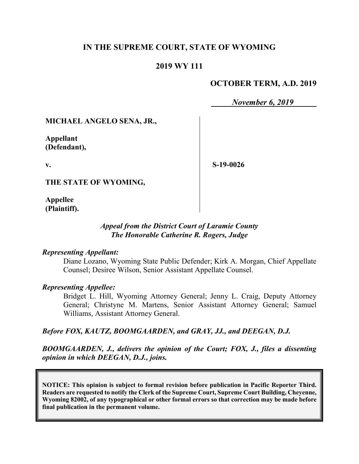## **IN THE SUPREME COURT, STATE OF WYOMING**

### **2019 WY 111**

### **OCTOBER TERM, A.D. 2019**

*November 6, 2019*

#### **MICHAEL ANGELO SENA, JR.,**

**Appellant (Defendant),**

**v.**

**S-19-0026**

**THE STATE OF WYOMING,**

**Appellee (Plaintiff).**

#### *Appeal from the District Court of Laramie County The Honorable Catherine R. Rogers, Judge*

#### *Representing Appellant:*

Diane Lozano, Wyoming State Public Defender; Kirk A. Morgan, Chief Appellate Counsel; Desiree Wilson, Senior Assistant Appellate Counsel.

#### *Representing Appellee:*

Bridget L. Hill, Wyoming Attorney General; Jenny L. Craig, Deputy Attorney General; Christyne M. Martens, Senior Assistant Attorney General; Samuel Williams, Assistant Attorney General.

#### *Before FOX, KAUTZ, BOOMGAARDEN, and GRAY, JJ., and DEEGAN, D.J.*

*BOOMGAARDEN, J., delivers the opinion of the Court; FOX, J., files a dissenting opinion in which DEEGAN, D.J., joins.*

**NOTICE: This opinion is subject to formal revision before publication in Pacific Reporter Third. Readers are requested to notify the Clerk of the Supreme Court, Supreme Court Building, Cheyenne, Wyoming 82002, of any typographical or other formal errors so that correction may be made before final publication in the permanent volume.**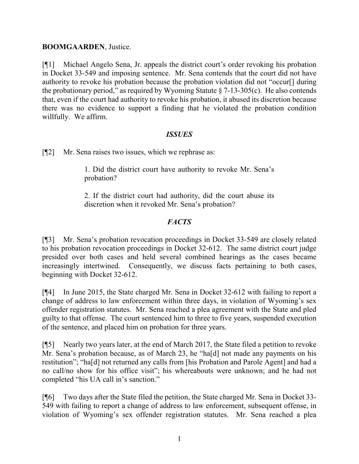### **BOOMGAARDEN**, Justice.

[¶1] Michael Angelo Sena, Jr. appeals the district court's order revoking his probation in Docket 33-549 and imposing sentence. Mr. Sena contends that the court did not have authority to revoke his probation because the probation violation did not "occur[] during the probationary period," as required by Wyoming Statute  $\S$  7-13-305(c). He also contends that, even if the court had authority to revoke his probation, it abused its discretion because there was no evidence to support a finding that he violated the probation condition willfully. We affirm.

### *ISSUES*

[¶2] Mr. Sena raises two issues, which we rephrase as:

1. Did the district court have authority to revoke Mr. Sena's probation?

2. If the district court had authority, did the court abuse its discretion when it revoked Mr. Sena's probation?

# *FACTS*

[¶3] Mr. Sena's probation revocation proceedings in Docket 33-549 are closely related to his probation revocation proceedings in Docket 32-612. The same district court judge presided over both cases and held several combined hearings as the cases became increasingly intertwined. Consequently, we discuss facts pertaining to both cases, beginning with Docket 32-612.

[¶4] In June 2015, the State charged Mr. Sena in Docket 32-612 with failing to report a change of address to law enforcement within three days, in violation of Wyoming's sex offender registration statutes. Mr. Sena reached a plea agreement with the State and pled guilty to that offense. The court sentenced him to three to five years, suspended execution of the sentence, and placed him on probation for three years.

[¶5] Nearly two years later, at the end of March 2017, the State filed a petition to revoke Mr. Sena's probation because, as of March 23, he "ha[d] not made any payments on his restitution"; "ha[d] not returned any calls from [his Probation and Parole Agent] and had a no call/no show for his office visit"; his whereabouts were unknown; and he had not completed "his UA call in's sanction."

[¶6] Two days after the State filed the petition, the State charged Mr. Sena in Docket 33- 549 with failing to report a change of address to law enforcement, subsequent offense, in violation of Wyoming's sex offender registration statutes. Mr. Sena reached a plea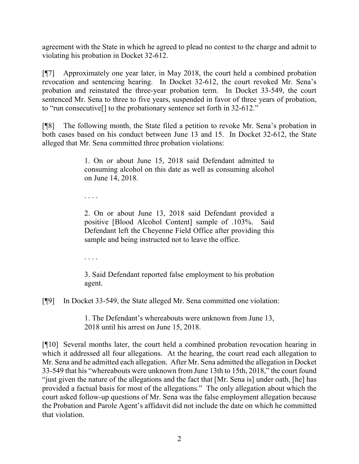agreement with the State in which he agreed to plead no contest to the charge and admit to violating his probation in Docket 32-612.

[¶7] Approximately one year later, in May 2018, the court held a combined probation revocation and sentencing hearing. In Docket 32-612, the court revoked Mr. Sena's probation and reinstated the three-year probation term. In Docket 33-549, the court sentenced Mr. Sena to three to five years, suspended in favor of three years of probation, to "run consecutive[] to the probationary sentence set forth in 32-612."

[¶8] The following month, the State filed a petition to revoke Mr. Sena's probation in both cases based on his conduct between June 13 and 15. In Docket 32-612, the State alleged that Mr. Sena committed three probation violations:

> 1. On or about June 15, 2018 said Defendant admitted to consuming alcohol on this date as well as consuming alcohol on June 14, 2018.

. . . .

2. On or about June 13, 2018 said Defendant provided a positive [Blood Alcohol Content] sample of .103%. Said Defendant left the Cheyenne Field Office after providing this sample and being instructed not to leave the office.

. . . .

3. Said Defendant reported false employment to his probation agent.

[¶9] In Docket 33-549, the State alleged Mr. Sena committed one violation:

1. The Defendant's whereabouts were unknown from June 13, 2018 until his arrest on June 15, 2018.

[¶10] Several months later, the court held a combined probation revocation hearing in which it addressed all four allegations. At the hearing, the court read each allegation to Mr. Sena and he admitted each allegation. After Mr. Sena admitted the allegation in Docket 33-549 that his "whereabouts were unknown from June 13th to 15th, 2018," the court found "just given the nature of the allegations and the fact that [Mr. Sena is] under oath, [he] has provided a factual basis for most of the allegations." The only allegation about which the court asked follow-up questions of Mr. Sena was the false employment allegation because the Probation and Parole Agent's affidavit did not include the date on which he committed that violation.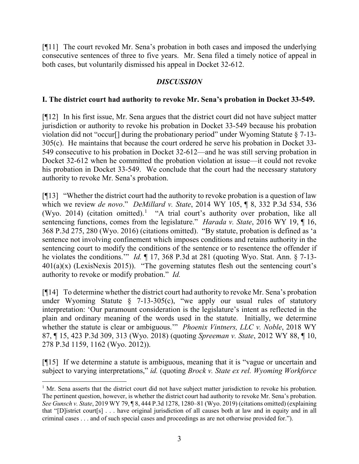[¶11] The court revoked Mr. Sena's probation in both cases and imposed the underlying consecutive sentences of three to five years. Mr. Sena filed a timely notice of appeal in both cases, but voluntarily dismissed his appeal in Docket 32-612.

## *DISCUSSION*

### **I. The district court had authority to revoke Mr. Sena's probation in Docket 33-549.**

[¶12] In his first issue, Mr. Sena argues that the district court did not have subject matter jurisdiction or authority to revoke his probation in Docket 33-549 because his probation violation did not "occur[] during the probationary period" under Wyoming Statute § 7-13- 305(c). He maintains that because the court ordered he serve his probation in Docket 33- 549 consecutive to his probation in Docket 32-612—and he was still serving probation in Docket 32-612 when he committed the probation violation at issue—it could not revoke his probation in Docket 33-549. We conclude that the court had the necessary statutory authority to revoke Mr. Sena's probation.

[¶13] "Whether the district court had the authority to revoke probation is a question of law which we review *de novo*." *DeMillard v. State*, 2014 WY 105, ¶ 8, 332 P.3d 534, 536 (Wyo. 20[1](#page-3-0)4) (citation omitted).<sup>1</sup> "A trial court's authority over probation, like all sentencing functions, comes from the legislature." *Harada v. State*, 2016 WY 19, ¶ 16, 368 P.3d 275, 280 (Wyo. 2016) (citations omitted). "By statute, probation is defined as 'a sentence not involving confinement which imposes conditions and retains authority in the sentencing court to modify the conditions of the sentence or to resentence the offender if he violates the conditions.'" *Id.* ¶ 17, 368 P.3d at 281 (quoting Wyo. Stat. Ann. § 7-13-  $401(a)(x)$  (LexisNexis 2015)). "The governing statutes flesh out the sentencing court's authority to revoke or modify probation." *Id.* 

[¶14] To determine whether the district court had authority to revoke Mr. Sena's probation under Wyoming Statute  $\S$  7-13-305(c), "we apply our usual rules of statutory interpretation: 'Our paramount consideration is the legislature's intent as reflected in the plain and ordinary meaning of the words used in the statute. Initially, we determine whether the statute is clear or ambiguous.'" *Phoenix Vintners, LLC v. Noble*, 2018 WY 87, ¶ 15, 423 P.3d 309, 313 (Wyo. 2018) (quoting *Spreeman v. State*, 2012 WY 88, ¶ 10, 278 P.3d 1159, 1162 (Wyo. 2012)).

[¶15] If we determine a statute is ambiguous, meaning that it is "vague or uncertain and subject to varying interpretations," *id.* (quoting *Brock v. State ex rel. Wyoming Workforce* 

l

<span id="page-3-0"></span><sup>&</sup>lt;sup>1</sup> Mr. Sena asserts that the district court did not have subject matter jurisdiction to revoke his probation. The pertinent question, however, is whether the district court had authority to revoke Mr. Sena's probation. *See Gunsch v. State*, 2019 WY 79, ¶ 8, 444 P.3d 1278, 1280–81 (Wyo. 2019) (citations omitted) (explaining that "[D]istrict court[s] . . . have original jurisdiction of all causes both at law and in equity and in all criminal cases . . . and of such special cases and proceedings as are not otherwise provided for.").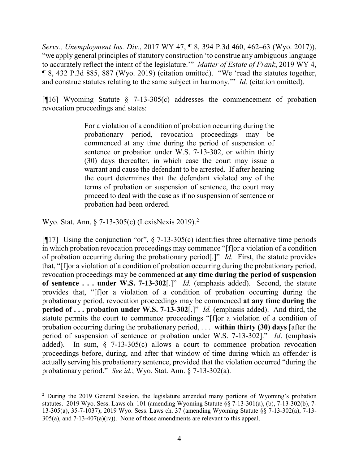*Servs., Unemployment Ins. Div.*, 2017 WY 47, ¶ 8, 394 P.3d 460, 462–63 (Wyo. 2017)), "we apply general principles of statutory construction 'to construe any ambiguous language to accurately reflect the intent of the legislature.'" *Matter of Estate of Frank*, 2019 WY 4, ¶ 8, 432 P.3d 885, 887 (Wyo. 2019) (citation omitted). "We 'read the statutes together, and construe statutes relating to the same subject in harmony.'" *Id.* (citation omitted).

[ $[16]$  Wyoming Statute § 7-13-305(c) addresses the commencement of probation revocation proceedings and states:

> For a violation of a condition of probation occurring during the probationary period, revocation proceedings may be commenced at any time during the period of suspension of sentence or probation under W.S. 7-13-302, or within thirty (30) days thereafter, in which case the court may issue a warrant and cause the defendant to be arrested. If after hearing the court determines that the defendant violated any of the terms of probation or suspension of sentence, the court may proceed to deal with the case as if no suspension of sentence or probation had been ordered.

Wyo. Stat. Ann. § 7-13-305(c) (LexisNexis 2019). [2](#page-4-0)

 $\overline{a}$ 

[ $[17]$  Using the conjunction "or",  $\S$  7-13-305(c) identifies three alternative time periods in which probation revocation proceedings may commence "[f]or a violation of a condition of probation occurring during the probationary period[.]" *Id.* First, the statute provides that, "[f]or a violation of a condition of probation occurring during the probationary period, revocation proceedings may be commenced **at any time during the period of suspension of sentence . . . under W.S. 7-13-302**[.]" *Id.* (emphasis added). Second, the statute provides that, "[f]or a violation of a condition of probation occurring during the probationary period, revocation proceedings may be commenced **at any time during the period of . . . probation under W.S. 7-13-302**[.]" *Id.* (emphasis added). And third, the statute permits the court to commence proceedings "[f]or a violation of a condition of probation occurring during the probationary period, . . . **within thirty (30) days** [after the period of suspension of sentence or probation under W.S. 7-13-302]." *Id*. (emphasis added). In sum, § 7-13-305(c) allows a court to commence probation revocation proceedings before, during, and after that window of time during which an offender is actually serving his probationary sentence, provided that the violation occurred "during the probationary period." *See id.*; Wyo. Stat. Ann. § 7-13-302(a).

<span id="page-4-0"></span><sup>&</sup>lt;sup>2</sup> During the 2019 General Session, the legislature amended many portions of Wyoming's probation statutes. 2019 Wyo. Sess. Laws ch. 101 (amending Wyoming Statute §§ 7-13-301(a), (b), 7-13-302(b), 7- 13-305(a), 35-7-1037); 2019 Wyo. Sess. Laws ch. 37 (amending Wyoming Statute §§ 7-13-302(a), 7-13- 305(a), and 7-13-407(a)(iv)). None of those amendments are relevant to this appeal.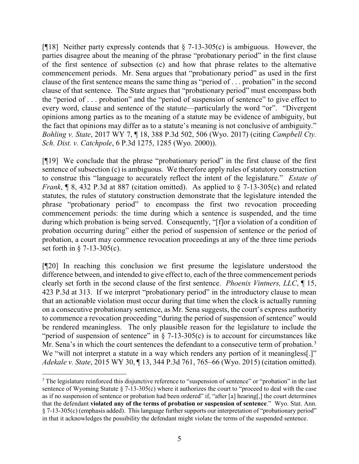[ $[$ [18] Neither party expressly contends that  $\S$  7-13-305(c) is ambiguous. However, the parties disagree about the meaning of the phrase "probationary period" in the first clause of the first sentence of subsection (c) and how that phrase relates to the alternative commencement periods. Mr. Sena argues that "probationary period" as used in the first clause of the first sentence means the same thing as "period of . . . probation" in the second clause of that sentence. The State argues that "probationary period" must encompass both the "period of . . . probation" and the "period of suspension of sentence" to give effect to every word, clause and sentence of the statute—particularly the word "or". "Divergent opinions among parties as to the meaning of a statute may be evidence of ambiguity, but the fact that opinions may differ as to a statute's meaning is not conclusive of ambiguity." *Bohling v. State*, 2017 WY 7, ¶ 18, 388 P.3d 502, 506 (Wyo. 2017) (citing *Campbell Cty. Sch. Dist. v. Catchpole*, 6 P.3d 1275, 1285 (Wyo. 2000)).

[¶19] We conclude that the phrase "probationary period" in the first clause of the first sentence of subsection (c) is ambiguous. We therefore apply rules of statutory construction to construe this "language to accurately reflect the intent of the legislature." *Estate of Frank*, ¶ 8, 432 P.3d at 887 (citation omitted). As applied to § 7-13-305(c) and related statutes, the rules of statutory construction demonstrate that the legislature intended the phrase "probationary period" to encompass the first two revocation proceeding commencement periods: the time during which a sentence is suspended, and the time during which probation is being served. Consequently, "[f]or a violation of a condition of probation occurring during" either the period of suspension of sentence or the period of probation, a court may commence revocation proceedings at any of the three time periods set forth in § 7-13-305(c).

[¶20] In reaching this conclusion we first presume the legislature understood the difference between, and intended to give effect to, each of the three commencement periods clearly set forth in the second clause of the first sentence. *Phoenix Vintners, LLC*, ¶ 15, 423 P.3d at 313. If we interpret "probationary period" in the introductory clause to mean that an actionable violation must occur during that time when the clock is actually running on a consecutive probationary sentence, as Mr. Sena suggests, the court's express authority to commence a revocation proceeding "during the period of suspension of sentence" would be rendered meaningless. The only plausible reason for the legislature to include the "period of suspension of sentence" in  $\S$  7-13-305(c) is to account for circumstances like Mr. Sena's in which the court sentences the defendant to a consecutive term of probation.<sup>[3](#page-5-0)</sup> We "will not interpret a statute in a way which renders any portion of it meaningless.]" *Adekale v. State*, 2015 WY 30, ¶ 13, 344 P.3d 761, 765–66 (Wyo. 2015) (citation omitted).

<span id="page-5-0"></span> $\overline{\phantom{a}}$ <sup>3</sup> The legislature reinforced this disjunctive reference to "suspension of sentence" or "probation" in the last sentence of Wyoming Statute § 7-13-305(c) where it authorizes the court to "proceed to deal with the case as if no suspension of sentence or probation had been ordered" if, "after [a] hearing[,] the court determines that the defendant **violated any of the terms of probation or suspension of sentence**." Wyo. Stat. Ann. § 7-13-305(c) (emphasis added). This language further supports our interpretation of "probationary period" in that it acknowledges the possibility the defendant might violate the terms of the suspended sentence.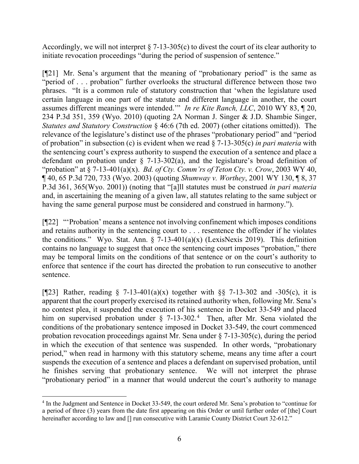Accordingly, we will not interpret  $\S$  7-13-305(c) to divest the court of its clear authority to initiate revocation proceedings "during the period of suspension of sentence."

[¶21] Mr. Sena's argument that the meaning of "probationary period" is the same as "period of . . . probation" further overlooks the structural difference between those two phrases. "It is a common rule of statutory construction that 'when the legislature used certain language in one part of the statute and different language in another, the court assumes different meanings were intended.'" *In re Kite Ranch, LLC*, 2010 WY 83, ¶ 20, 234 P.3d 351, 359 (Wyo. 2010) (quoting 2A Norman J. Singer & J.D. Shambie Singer, *Statutes and Statutory Construction* § 46:6 (7th ed. 2007) (other citations omitted)). The relevance of the legislature's distinct use of the phrases "probationary period" and "period of probation" in subsection (c) is evident when we read § 7-13-305(c) *in pari materia* with the sentencing court's express authority to suspend the execution of a sentence and place a defendant on probation under  $\S$  7-13-302(a), and the legislature's broad definition of "probation" at § 7-13-401(a)(x). *Bd. of Cty. Comm'rs of Teton Cty. v. Crow*, 2003 WY 40, ¶ 40, 65 P.3d 720, 733 (Wyo. 2003) (quoting *Shumway v. Worthey*, 2001 WY 130, ¶ 8, 37 P.3d 361, 365(Wyo. 2001)) (noting that "[a]ll statutes must be construed *in pari materia* and, in ascertaining the meaning of a given law, all statutes relating to the same subject or having the same general purpose must be considered and construed in harmony.").

[¶22] "'Probation' means a sentence not involving confinement which imposes conditions and retains authority in the sentencing court to . . . resentence the offender if he violates the conditions." Wyo. Stat. Ann.  $\S$  7-13-401(a)(x) (LexisNexis 2019). This definition contains no language to suggest that once the sentencing court imposes "probation," there may be temporal limits on the conditions of that sentence or on the court's authority to enforce that sentence if the court has directed the probation to run consecutive to another sentence.

[ $[23]$ ] Rather, reading § 7-13-401(a)(x) together with §§ 7-13-302 and -305(c), it is apparent that the court properly exercised its retained authority when, following Mr. Sena's no contest plea, it suspended the execution of his sentence in Docket 33-549 and placed him on supervised probation under § 7-13-302.<sup>[4](#page-6-0)</sup> Then, after Mr. Sena violated the conditions of the probationary sentence imposed in Docket 33-549, the court commenced probation revocation proceedings against Mr. Sena under  $\S$  7-13-305(c), during the period in which the execution of that sentence was suspended. In other words, "probationary period," when read in harmony with this statutory scheme, means any time after a court suspends the execution of a sentence and places a defendant on supervised probation, until he finishes serving that probationary sentence. We will not interpret the phrase "probationary period" in a manner that would undercut the court's authority to manage

 $\overline{\phantom{a}}$ 

<span id="page-6-0"></span><sup>4</sup> In the Judgment and Sentence in Docket 33-549, the court ordered Mr. Sena's probation to "continue for a period of three (3) years from the date first appearing on this Order or until further order of [the] Court hereinafter according to law and [] run consecutive with Laramie County District Court 32-612."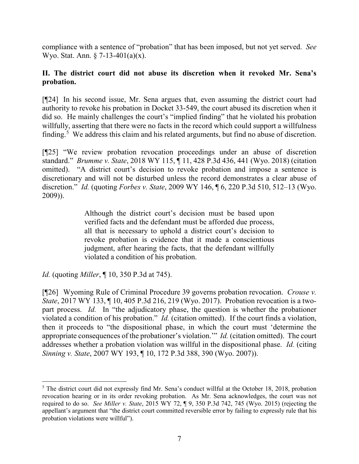compliance with a sentence of "probation" that has been imposed, but not yet served. *See* Wyo. Stat. Ann. § 7-13-401(a)(x).

## **II. The district court did not abuse its discretion when it revoked Mr. Sena's probation.**

[¶24] In his second issue, Mr. Sena argues that, even assuming the district court had authority to revoke his probation in Docket 33-549, the court abused its discretion when it did so. He mainly challenges the court's "implied finding" that he violated his probation willfully, asserting that there were no facts in the record which could support a willfulness finding.<sup>[5](#page-7-0)</sup> We address this claim and his related arguments, but find no abuse of discretion.

[¶25] "We review probation revocation proceedings under an abuse of discretion standard." *Brumme v. State*, 2018 WY 115, ¶ 11, 428 P.3d 436, 441 (Wyo. 2018) (citation omitted). "A district court's decision to revoke probation and impose a sentence is discretionary and will not be disturbed unless the record demonstrates a clear abuse of discretion." *Id.* (quoting *Forbes v. State*, 2009 WY 146, ¶ 6, 220 P.3d 510, 512–13 (Wyo. 2009)).

> Although the district court's decision must be based upon verified facts and the defendant must be afforded due process, all that is necessary to uphold a district court's decision to revoke probation is evidence that it made a conscientious judgment, after hearing the facts, that the defendant willfully violated a condition of his probation.

*Id.* (quoting *Miller*, ¶ 10, 350 P.3d at 745).

[¶26] Wyoming Rule of Criminal Procedure 39 governs probation revocation. *Crouse v. State*, 2017 WY 133, 110, 405 P.3d 216, 219 (Wyo. 2017). Probation revocation is a twopart process. *Id.* In "the adjudicatory phase, the question is whether the probationer violated a condition of his probation." *Id.* (citation omitted). If the court finds a violation, then it proceeds to "the dispositional phase, in which the court must 'determine the appropriate consequences of the probationer's violation.'" *Id.* (citation omitted). The court addresses whether a probation violation was willful in the dispositional phase. *Id.* (citing *Sinning v. State*, 2007 WY 193, ¶ 10, 172 P.3d 388, 390 (Wyo. 2007)).

<span id="page-7-0"></span>l <sup>5</sup> The district court did not expressly find Mr. Sena's conduct willful at the October 18, 2018, probation revocation hearing or in its order revoking probation. As Mr. Sena acknowledges, the court was not required to do so. *See Miller v. State*, 2015 WY 72, ¶ 9, 350 P.3d 742, 745 (Wyo. 2015) (rejecting the appellant's argument that "the district court committed reversible error by failing to expressly rule that his probation violations were willful").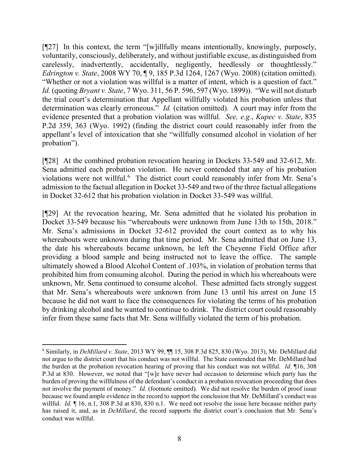[¶27] In this context, the term "[w]illfully means intentionally, knowingly, purposely, voluntarily, consciously, deliberately, and without justifiable excuse, as distinguished from carelessly, inadvertently, accidentally, negligently, heedlessly or thoughtlessly." *Edrington v. State*, 2008 WY 70, ¶ 9, 185 P.3d 1264, 1267 (Wyo. 2008) (citation omitted). "Whether or not a violation was willful is a matter of intent, which is a question of fact." *Id.* (quoting *Bryant v. State*, 7 Wyo. 311, 56 P. 596, 597 (Wyo. 1899)). "We will not disturb the trial court's determination that Appellant willfully violated his probation unless that determination was clearly erroneous." *Id.* (citation omitted). A court may infer from the evidence presented that a probation violation was willful. *See, e.g.*, *Kupec v. State*, 835 P.2d 359, 363 (Wyo. 1992) (finding the district court could reasonably infer from the appellant's level of intoxication that she "willfully consumed alcohol in violation of her probation").

[¶28] At the combined probation revocation hearing in Dockets 33-549 and 32-612, Mr. Sena admitted each probation violation. He never contended that any of his probation violations were not willful.<sup>[6](#page-8-0)</sup> The district court could reasonably infer from Mr. Sena's admission to the factual allegation in Docket 33-549 and two of the three factual allegations in Docket 32-612 that his probation violation in Docket 33-549 was willful.

[¶29] At the revocation hearing, Mr. Sena admitted that he violated his probation in Docket 33-549 because his "whereabouts were unknown from June 13th to 15th, 2018." Mr. Sena's admissions in Docket 32-612 provided the court context as to why his whereabouts were unknown during that time period. Mr. Sena admitted that on June 13, the date his whereabouts became unknown, he left the Cheyenne Field Office after providing a blood sample and being instructed not to leave the office. The sample ultimately showed a Blood Alcohol Content of .103%, in violation of probation terms that prohibited him from consuming alcohol. During the period in which his whereabouts were unknown, Mr. Sena continued to consume alcohol. These admitted facts strongly suggest that Mr. Sena's whereabouts were unknown from June 13 until his arrest on June 15 because he did not want to face the consequences for violating the terms of his probation by drinking alcohol and he wanted to continue to drink. The district court could reasonably infer from these same facts that Mr. Sena willfully violated the term of his probation.

 $\overline{\phantom{a}}$ 

<span id="page-8-0"></span><sup>6</sup> Similarly, in *DeMillard v. State*, 2013 WY 99, ¶¶ 15, 308 P.3d 825, 830 (Wyo. 2013), Mr. DeMillard did not argue to the district court that his conduct was not willful. The State contended that Mr. DeMillard had the burden at the probation revocation hearing of proving that his conduct was not willful. *Id*. ¶16, 308 P.3d at 830. However, we noted that "[w]e have never had occasion to determine which party has the burden of proving the willfulness of the defendant's conduct in a probation revocation proceeding that does not involve the payment of money." *Id.* (footnote omitted). We did not resolve the burden of proof issue because we found ample evidence in the record to support the conclusion that Mr. DeMillard's conduct was willful. *Id.*  $\llbracket 16, n.1, 308$  P.3d at 830, 830 n.1. We need not resolve the issue here because neither party has raised it, and, as in *DeMillard*, the record supports the district court's conclusion that Mr. Sena's conduct was willful.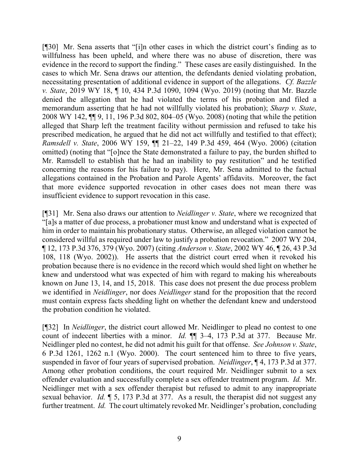[¶30] Mr. Sena asserts that "[i]n other cases in which the district court's finding as to willfulness has been upheld, and where there was no abuse of discretion, there was evidence in the record to support the finding." These cases are easily distinguished. In the cases to which Mr. Sena draws our attention, the defendants denied violating probation, necessitating presentation of additional evidence in support of the allegations. *Cf. Bazzle v. State*, 2019 WY 18, ¶ 10, 434 P.3d 1090, 1094 (Wyo. 2019) (noting that Mr. Bazzle denied the allegation that he had violated the terms of his probation and filed a memorandum asserting that he had not willfully violated his probation); *Sharp v. State*, 2008 WY 142, ¶¶ 9, 11, 196 P.3d 802, 804–05 (Wyo. 2008) (noting that while the petition alleged that Sharp left the treatment facility without permission and refused to take his prescribed medication, he argued that he did not act willfully and testified to that effect); *Ramsdell v. State*, 2006 WY 159, ¶¶ 21–22, 149 P.3d 459, 464 (Wyo. 2006) (citation omitted) (noting that "[o]nce the State demonstrated a failure to pay, the burden shifted to Mr. Ramsdell to establish that he had an inability to pay restitution" and he testified concerning the reasons for his failure to pay). Here, Mr. Sena admitted to the factual allegations contained in the Probation and Parole Agents' affidavits. Moreover, the fact that more evidence supported revocation in other cases does not mean there was insufficient evidence to support revocation in this case.

[¶31] Mr. Sena also draws our attention to *Neidlinger v. State*, where we recognized that "[a]s a matter of due process, a probationer must know and understand what is expected of him in order to maintain his probationary status. Otherwise, an alleged violation cannot be considered willful as required under law to justify a probation revocation." 2007 WY 204, ¶ 12, 173 P.3d 376, 379 (Wyo. 2007) (citing *Anderson v. State*, 2002 WY 46, ¶ 26, 43 P.3d 108, 118 (Wyo. 2002)). He asserts that the district court erred when it revoked his probation because there is no evidence in the record which would shed light on whether he knew and understood what was expected of him with regard to making his whereabouts known on June 13, 14, and 15, 2018. This case does not present the due process problem we identified in *Neidlinger*, nor does *Neidlinger* stand for the proposition that the record must contain express facts shedding light on whether the defendant knew and understood the probation condition he violated.

[¶32] In *Neidlinger*, the district court allowed Mr. Neidlinger to plead no contest to one count of indecent liberties with a minor. *Id.* ¶¶ 3–4, 173 P.3d at 377. Because Mr. Neidlinger pled no contest, he did not admit his guilt for that offense. *See Johnson v. State*, 6 P.3d 1261, 1262 n.1 (Wyo. 2000). The court sentenced him to three to five years, suspended in favor of four years of supervised probation. *Neidlinger*, ¶ 4, 173 P.3d at 377. Among other probation conditions, the court required Mr. Neidlinger submit to a sex offender evaluation and successfully complete a sex offender treatment program. *Id.* Mr. Neidlinger met with a sex offender therapist but refused to admit to any inappropriate sexual behavior. *Id.* ¶ 5, 173 P.3d at 377. As a result, the therapist did not suggest any further treatment. *Id.* The court ultimately revoked Mr. Neidlinger's probation, concluding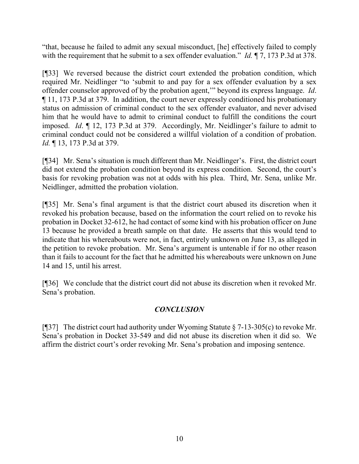"that, because he failed to admit any sexual misconduct, [he] effectively failed to comply with the requirement that he submit to a sex offender evaluation." *Id.* ¶ 7, 173 P.3d at 378.

[¶33] We reversed because the district court extended the probation condition, which required Mr. Neidlinger "to 'submit to and pay for a sex offender evaluation by a sex offender counselor approved of by the probation agent,'" beyond its express language. *Id*. ¶ 11, 173 P.3d at 379. In addition, the court never expressly conditioned his probationary status on admission of criminal conduct to the sex offender evaluator, and never advised him that he would have to admit to criminal conduct to fulfill the conditions the court imposed. *Id*. ¶ 12, 173 P.3d at 379. Accordingly, Mr. Neidlinger's failure to admit to criminal conduct could not be considered a willful violation of a condition of probation. *Id.* ¶ 13, 173 P.3d at 379.

[¶34] Mr. Sena's situation is much different than Mr. Neidlinger's. First, the district court did not extend the probation condition beyond its express condition. Second, the court's basis for revoking probation was not at odds with his plea. Third, Mr. Sena, unlike Mr. Neidlinger, admitted the probation violation.

[¶35] Mr. Sena's final argument is that the district court abused its discretion when it revoked his probation because, based on the information the court relied on to revoke his probation in Docket 32-612, he had contact of some kind with his probation officer on June 13 because he provided a breath sample on that date. He asserts that this would tend to indicate that his whereabouts were not, in fact, entirely unknown on June 13, as alleged in the petition to revoke probation. Mr. Sena's argument is untenable if for no other reason than it fails to account for the fact that he admitted his whereabouts were unknown on June 14 and 15, until his arrest.

[¶36] We conclude that the district court did not abuse its discretion when it revoked Mr. Sena's probation.

# *CONCLUSION*

[ $[$ ][37] The district court had authority under Wyoming Statute  $\S$  7-13-305(c) to revoke Mr. Sena's probation in Docket 33-549 and did not abuse its discretion when it did so. We affirm the district court's order revoking Mr. Sena's probation and imposing sentence.